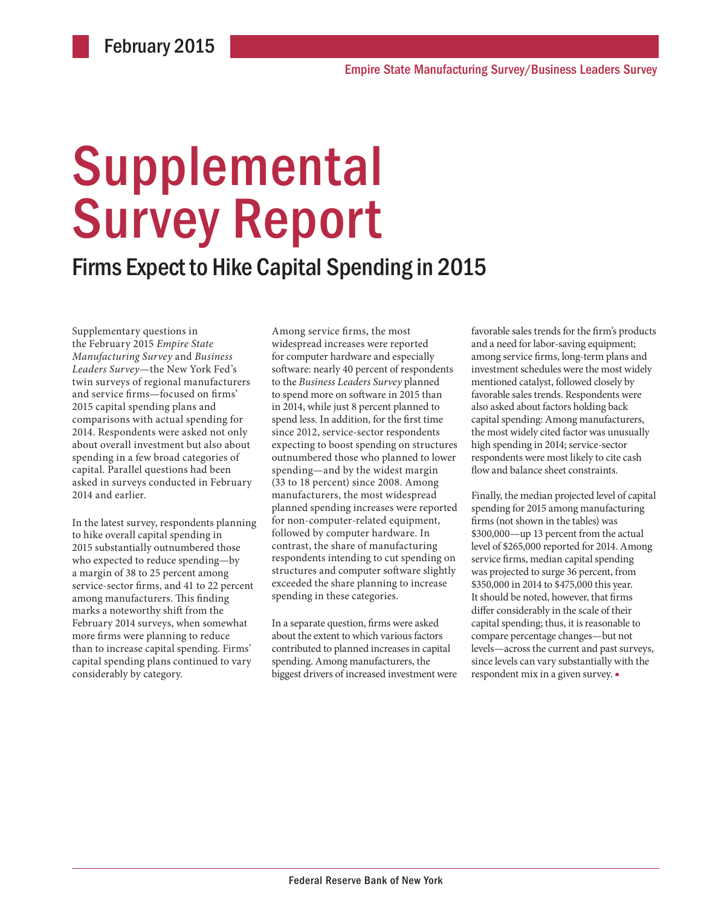# Supplemental Survey Report

## Firms Expect to Hike Capital Spending in 2015

Supplementary questions in the February 2015 *Empire State Manufacturing Survey* and *Business Leaders Survey*—the New York Fed's twin surveys of regional manufacturers and service firms—focused on firms' 2015 capital spending plans and comparisons with actual spending for 2014. Respondents were asked not only about overall investment but also about spending in a few broad categories of capital. Parallel questions had been asked in surveys conducted in February 2014 and earlier.

In the latest survey, respondents planning to hike overall capital spending in 2015 substantially outnumbered those who expected to reduce spending—by a margin of 38 to 25 percent among service-sector firms, and 41 to 22 percent among manufacturers. This finding marks a noteworthy shift from the February 2014 surveys, when somewhat more firms were planning to reduce than to increase capital spending. Firms' capital spending plans continued to vary considerably by category.

Among service firms, the most widespread increases were reported for computer hardware and especially software: nearly 40 percent of respondents to the *Business Leaders Survey* planned to spend more on software in 2015 than in 2014, while just 8 percent planned to spend less. In addition, for the first time since 2012, service-sector respondents expecting to boost spending on structures outnumbered those who planned to lower spending—and by the widest margin (33 to 18 percent) since 2008. Among manufacturers, the most widespread planned spending increases were reported for non-computer-related equipment, followed by computer hardware. In contrast, the share of manufacturing respondents intending to cut spending on structures and computer software slightly exceeded the share planning to increase spending in these categories.

In a separate question, firms were asked about the extent to which various factors contributed to planned increases in capital spending. Among manufacturers, the biggest drivers of increased investment were favorable sales trends for the firm's products and a need for labor-saving equipment; among service firms, long-term plans and investment schedules were the most widely mentioned catalyst, followed closely by favorable sales trends. Respondents were also asked about factors holding back capital spending: Among manufacturers, the most widely cited factor was unusually high spending in 2014; service-sector respondents were most likely to cite cash flow and balance sheet constraints.

Finally, the median projected level of capital spending for 2015 among manufacturing firms (not shown in the tables) was \$300,000—up 13 percent from the actual level of \$265,000 reported for 2014. Among service firms, median capital spending was projected to surge 36 percent, from \$350,000 in 2014 to \$475,000 this year. It should be noted, however, that firms differ considerably in the scale of their capital spending; thus, it is reasonable to compare percentage changes—but not levels—across the current and past surveys, since levels can vary substantially with the respondent mix in a given survey. ■